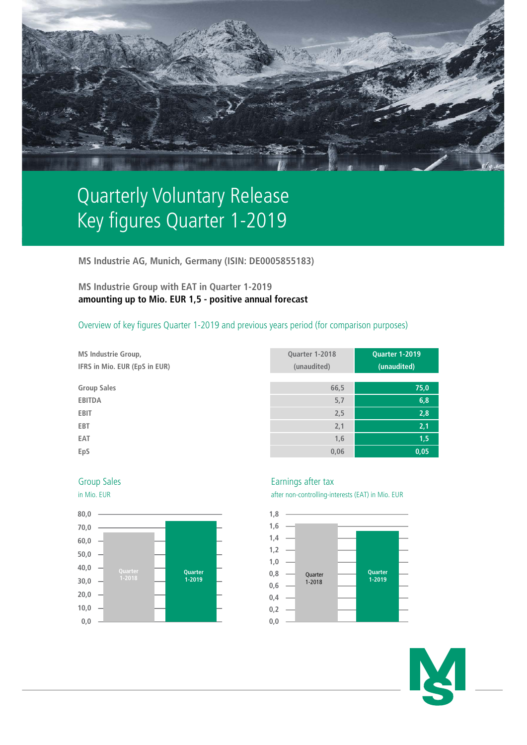

# Quarterly Voluntary Release Key figures Quarter 1-2019

**MS Industrie AG, Munich, Germany (ISIN: DE0005855183)**

# **MS Industrie Group with EAT in Quarter 1-2019 amounting up to Mio. EUR 1,5 - positive annual forecast**

## Overview of key figures Quarter 1-2019 and previous years period (for comparison purposes)

| <b>MS Industrie Group,</b> |  |  |  |  |  |                               |  |  |
|----------------------------|--|--|--|--|--|-------------------------------|--|--|
|                            |  |  |  |  |  | IFRS in Mio. EUR (EpS in EUR) |  |  |

 $Group Sales$ 

| <b>MS Industrie Group,</b><br>IFRS in Mio. EUR (EpS in EUR) | Quarter 1-2018<br>(unaudited) | <b>Quarter 1-2019</b><br>(unaudited) |
|-------------------------------------------------------------|-------------------------------|--------------------------------------|
|                                                             |                               |                                      |
| <b>Group Sales</b>                                          | 66,5                          | 75,0                                 |
| <b>EBITDA</b>                                               | 5,7                           | 6,8                                  |
| EBIT                                                        | 2,5                           | 2,8                                  |
| EBT                                                         | 2,1                           | 2,1                                  |
| EAT                                                         | 1,6                           | 1,5                                  |
| EpS                                                         | 0,06                          | 0,05                                 |





### Group Sales **Earnings** after tax

in Mio. EUR after non-controlling-interests (EAT) in Mio. EUR



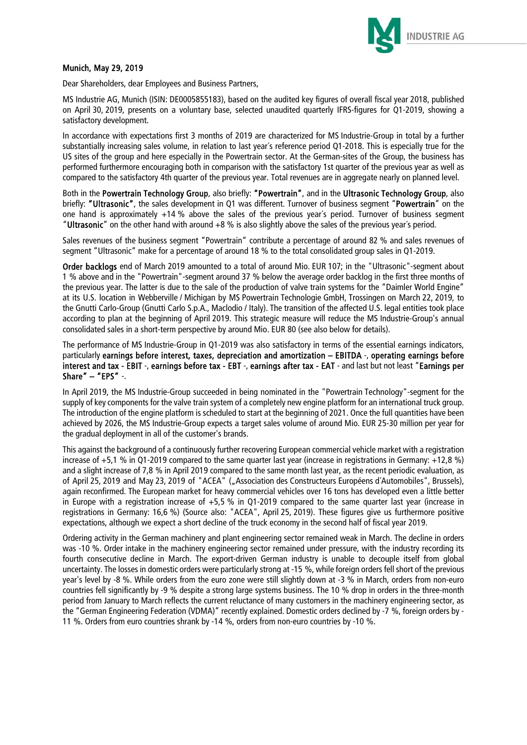

### Munich, May 29, 2019

Dear Shareholders, dear Employees and Business Partners,

MS Industrie AG, Munich (ISIN: DE0005855183), based on the audited key figures of overall fiscal year 2018, published on April 30, 2019, presents on a voluntary base, selected unaudited quarterly IFRS-figures for Q1-2019, showing a satisfactory development.

In accordance with expectations first 3 months of 2019 are characterized for MS Industrie-Group in total by a further substantially increasing sales volume, in relation to last year´s reference period Q1-2018. This is especially true for the US sites of the group and here especially in the Powertrain sector. At the German-sites of the Group, the business has performed furthermore encouraging both in comparison with the satisfactory 1st quarter of the previous year as well as compared to the satisfactory 4th quarter of the previous year. Total revenues are in aggregate nearly on planned level.

Both in the Powertrain Technology Group, also briefly: "Powertrain", and in the Ultrasonic Technology Group, also briefly: "Ultrasonic", the sales development in Q1 was different. Turnover of business segment "Powertrain" on the one hand is approximately +14 % above the sales of the previous year´s period. Turnover of business segment "Ultrasonic" on the other hand with around +8 % is also slightly above the sales of the previous year´s period.

Sales revenues of the business segment "Powertrain" contribute a percentage of around 82 % and sales revenues of segment "Ultrasonic" make for a percentage of around 18 % to the total consolidated group sales in Q1-2019.

Order backlogs end of March 2019 amounted to a total of around Mio. EUR 107; in the "Ultrasonic"-segment about 1 % above and in the "Powertrain"-segment around 37 % below the average order backlog in the first three months of the previous year. The latter is due to the sale of the production of valve train systems for the "Daimler World Engine" at its U.S. location in Webberville / Michigan by MS Powertrain Technologie GmbH, Trossingen on March 22, 2019, to the Gnutti Carlo-Group (Gnutti Carlo S.p.A., Maclodio / Italy). The transition of the affected U.S. legal entities took place according to plan at the beginning of April 2019. This strategic measure will reduce the MS Industrie-Group's annual consolidated sales in a short-term perspective by around Mio. EUR 80 (see also below for details).

The performance of MS Industrie-Group in Q1-2019 was also satisfactory in terms of the essential earnings indicators, particularly earnings before interest, taxes, depreciation and amortization – EBITDA -, operating earnings before interest and tax - EBIT -, earnings before tax - EBT -, earnings after tax - EAT - and last but not least "Earnings per Share" – "EPS" -.

In April 2019, the MS Industrie-Group succeeded in being nominated in the "Powertrain Technology"-segment for the supply of key components for the valve train system of a completely new engine platform for an international truck group. The introduction of the engine platform is scheduled to start at the beginning of 2021. Once the full quantities have been achieved by 2026, the MS Industrie-Group expects a target sales volume of around Mio. EUR 25-30 million per year for the gradual deployment in all of the customer's brands.

This against the background of a continuously further recovering European commercial vehicle market with a registration increase of +5,1 % in Q1-2019 compared to the same quarter last year (increase in registrations in Germany: +12,8 %) and a slight increase of 7,8 % in April 2019 compared to the same month last year, as the recent periodic evaluation, as of April 25, 2019 and May 23, 2019 of "ACEA" ("Association des Constructeurs Européens d'Automobiles", Brussels), again reconfirmed. The European market for heavy commercial vehicles over 16 tons has developed even a little better in Europe with a registration increase of +5,5 % in Q1-2019 compared to the same quarter last year (increase in registrations in Germany: 16,6 %) (Source also: "ACEA", April 25, 2019). These figures give us furthermore positive expectations, although we expect a short decline of the truck economy in the second half of fiscal year 2019.

Ordering activity in the German machinery and plant engineering sector remained weak in March. The decline in orders was -10 %. Order intake in the machinery engineering sector remained under pressure, with the industry recording its fourth consecutive decline in March. The export-driven German industry is unable to decouple itself from global uncertainty. The losses in domestic orders were particularly strong at -15 %, while foreign orders fell short of the previous year's level by -8 %. While orders from the euro zone were still slightly down at -3 % in March, orders from non-euro countries fell significantly by -9 % despite a strong large systems business. The 10 % drop in orders in the three-month period from January to March reflects the current reluctance of many customers in the machinery engineering sector, as the "German Engineering Federation (VDMA)" recently explained. Domestic orders declined by -7 %, foreign orders by - 11 %. Orders from euro countries shrank by -14 %, orders from non-euro countries by -10 %.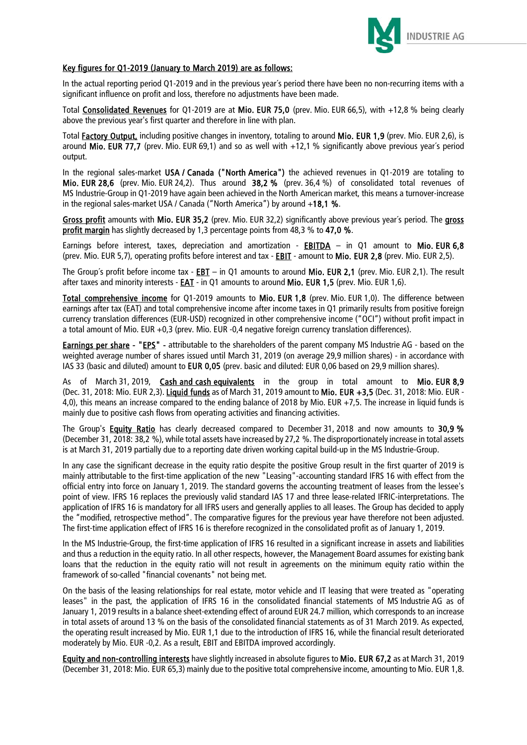

### Key figures for Q1-2019 (January to March 2019) are as follows:

In the actual reporting period Q1-2019 and in the previous year´s period there have been no non-recurring items with a significant influence on profit and loss, therefore no adjustments have been made.

Total Consolidated Revenues for Q1-2019 are at Mio. EUR 75,0 (prev. Mio. EUR 66,5), with +12,8 % being clearly above the previous year's first quarter and therefore in line with plan.

Total Factory Output, including positive changes in inventory, totaling to around Mio. EUR 1,9 (prev. Mio. EUR 2,6), is around Mio. EUR 77.7 (prev. Mio. EUR 69.1) and so as well with  $+12.1$  % significantly above previous year's period output.

In the regional sales-market USA / Canada ("North America") the achieved revenues in Q1-2019 are totaling to Mio. EUR 28,6 (prev. Mio. EUR 24,2). Thus around 38,2 % (prev. 36,4 %) of consolidated total revenues of MS Industrie-Group in Q1-2019 have again been achieved in the North American market, this means a turnover-increase in the regional sales-market USA / Canada ("North America") by around +18,1 %.

Gross profit amounts with Mio. EUR 35,2 (prev. Mio. EUR 32,2) significantly above previous year's period. The gross profit margin has slightly decreased by 1,3 percentage points from 48,3 % to 47,0 %.

Earnings before interest, taxes, depreciation and amortization - EBITDA – in Q1 amount to Mio. EUR 6,8 (prev. Mio. EUR 5,7), operating profits before interest and tax - **EBIT** - amount to Mio. EUR 2,8 (prev. Mio. EUR 2,5).

The Group's profit before income tax - EBT – in Q1 amounts to around Mio. EUR 2,1 (prev. Mio. EUR 2,1). The result after taxes and minority interests - EAT - in Q1 amounts to around Mio. EUR 1,5 (prev. Mio. EUR 1,6).

Total comprehensive income for Q1-2019 amounts to Mio. EUR 1,8 (prev. Mio. EUR 1,0). The difference between earnings after tax (EAT) and total comprehensive income after income taxes in Q1 primarily results from positive foreign currency translation differences (EUR-USD) recognized in other comprehensive income ("OCI") without profit impact in a total amount of Mio. EUR +0,3 (prev. Mio. EUR -0,4 negative foreign currency translation differences).

Earnings per share - "EPS" - attributable to the shareholders of the parent company MS Industrie AG - based on the weighted average number of shares issued until March 31, 2019 (on average 29,9 million shares) - in accordance with IAS 33 (basic and diluted) amount to EUR 0,05 (prev. basic and diluted: EUR 0,06 based on 29,9 million shares).

As of March 31, 2019, Cash and cash equivalents in the group in total amount to Mio. EUR 8,9 (Dec. 31, 2018: Mio. EUR 2,3). Liquid funds as of March 31, 2019 amount to Mio. EUR +3,5 (Dec. 31, 2018: Mio. EUR -4,0), this means an increase compared to the ending balance of 2018 by Mio. EUR +7,5. The increase in liquid funds is mainly due to positive cash flows from operating activities and financing activities.

The Group's **Equity Ratio** has clearly decreased compared to December 31, 2018 and now amounts to 30,9 % (December 31, 2018: 38,2 %), while total assets have increased by 27,2 %. The disproportionately increase in total assets is at March 31, 2019 partially due to a reporting date driven working capital build-up in the MS Industrie-Group.

In any case the significant decrease in the equity ratio despite the positive Group result in the first quarter of 2019 is mainly attributable to the first-time application of the new "Leasing"-accounting standard IFRS 16 with effect from the official entry into force on January 1, 2019. The standard governs the accounting treatment of leases from the lessee's point of view. IFRS 16 replaces the previously valid standard IAS 17 and three lease-related IFRIC-interpretations. The application of IFRS 16 is mandatory for all IFRS users and generally applies to all leases. The Group has decided to apply the "modified, retrospective method". The comparative figures for the previous year have therefore not been adjusted. The first-time application effect of IFRS 16 is therefore recognized in the consolidated profit as of January 1, 2019.

In the MS Industrie-Group, the first-time application of IFRS 16 resulted in a significant increase in assets and liabilities and thus a reduction in the equity ratio. In all other respects, however, the Management Board assumes for existing bank loans that the reduction in the equity ratio will not result in agreements on the minimum equity ratio within the framework of so-called "financial covenants" not being met.

On the basis of the leasing relationships for real estate, motor vehicle and IT leasing that were treated as "operating leases" in the past, the application of IFRS 16 in the consolidated financial statements of MS Industrie AG as of January 1, 2019 results in a balance sheet-extending effect of around EUR 24.7 million, which corresponds to an increase in total assets of around 13 % on the basis of the consolidated financial statements as of 31 March 2019. As expected, the operating result increased by Mio. EUR 1,1 due to the introduction of IFRS 16, while the financial result deteriorated moderately by Mio. EUR -0,2. As a result, EBIT and EBITDA improved accordingly.

Equity and non-controlling interests have slightly increased in absolute figures to Mio. EUR 67,2 as at March 31, 2019 (December 31, 2018: Mio. EUR 65,3) mainly due to the positive total comprehensive income, amounting to Mio. EUR 1,8.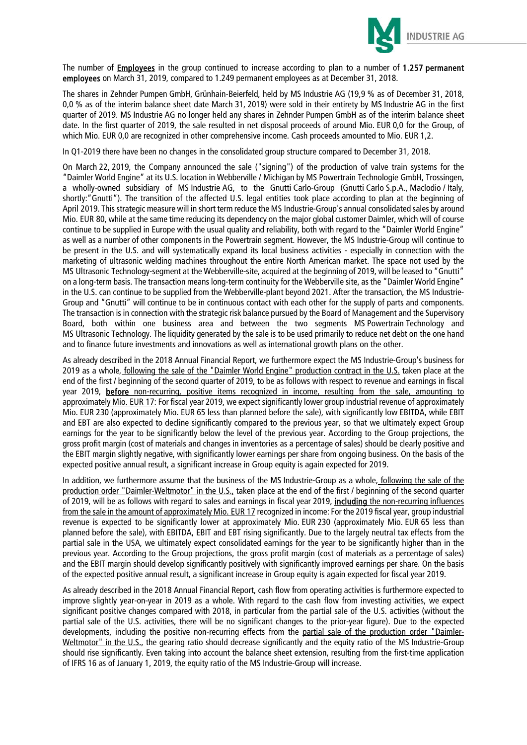

The number of **Employees** in the group continued to increase according to plan to a number of 1.257 permanent employees on March 31, 2019, compared to 1.249 permanent employees as at December 31, 2018.

The shares in Zehnder Pumpen GmbH, Grünhain-Beierfeld, held by MS Industrie AG (19,9 % as of December 31, 2018, 0,0 % as of the interim balance sheet date March 31, 2019) were sold in their entirety by MS Industrie AG in the first quarter of 2019. MS Industrie AG no longer held any shares in Zehnder Pumpen GmbH as of the interim balance sheet date. In the first quarter of 2019, the sale resulted in net disposal proceeds of around Mio. EUR 0,0 for the Group, of which Mio. EUR 0.0 are recognized in other comprehensive income. Cash proceeds amounted to Mio. EUR 1.2.

In Q1-2019 there have been no changes in the consolidated group structure compared to December 31, 2018.

On March 22, 2019, the Company announced the sale ("signing") of the production of valve train systems for the "Daimler World Engine" at its U.S. location in Webberville / Michigan by MS Powertrain Technologie GmbH, Trossingen, a wholly-owned subsidiary of MS Industrie AG, to the Gnutti Carlo-Group (Gnutti Carlo S.p.A., Maclodio / Italy, shortly:"Gnutti"). The transition of the affected U.S. legal entities took place according to plan at the beginning of April 2019. This strategic measure will in short term reduce the MS Industrie-Group's annual consolidated sales by around Mio. EUR 80, while at the same time reducing its dependency on the major global customer Daimler, which will of course continue to be supplied in Europe with the usual quality and reliability, both with regard to the "Daimler World Engine" as well as a number of other components in the Powertrain segment. However, the MS Industrie-Group will continue to be present in the U.S. and will systematically expand its local business activities - especially in connection with the marketing of ultrasonic welding machines throughout the entire North American market. The space not used by the MS Ultrasonic Technology-segment at the Webberville-site, acquired at the beginning of 2019, will be leased to "Gnutti" on a long-term basis. The transaction means long-term continuity for the Webberville site, as the "Daimler World Engine" in the U.S. can continue to be supplied from the Webberville-plant beyond 2021. After the transaction, the MS Industrie-Group and "Gnutti" will continue to be in continuous contact with each other for the supply of parts and components. The transaction is in connection with the strategic risk balance pursued by the Board of Management and the Supervisory Board, both within one business area and between the two segments MS Powertrain Technology and MS Ultrasonic Technology. The liquidity generated by the sale is to be used primarily to reduce net debt on the one hand and to finance future investments and innovations as well as international growth plans on the other.

As already described in the 2018 Annual Financial Report, we furthermore expect the MS Industrie-Group's business for 2019 as a whole, following the sale of the "Daimler World Engine" production contract in the U.S. taken place at the end of the first / beginning of the second quarter of 2019, to be as follows with respect to revenue and earnings in fiscal year 2019, before non-recurring, positive items recognized in income, resulting from the sale, amounting to approximately Mio. EUR 17: For fiscal year 2019, we expect significantly lower group industrial revenue of approximately Mio. EUR 230 (approximately Mio. EUR 65 less than planned before the sale), with significantly low EBITDA, while EBIT and EBT are also expected to decline significantly compared to the previous year, so that we ultimately expect Group earnings for the year to be significantly below the level of the previous year. According to the Group projections, the gross profit margin (cost of materials and changes in inventories as a percentage of sales) should be clearly positive and the EBIT margin slightly negative, with significantly lower earnings per share from ongoing business. On the basis of the expected positive annual result, a significant increase in Group equity is again expected for 2019.

In addition, we furthermore assume that the business of the MS Industrie-Group as a whole, following the sale of the production order "Daimler-Weltmotor" in the U.S., taken place at the end of the first / beginning of the second quarter of 2019, will be as follows with regard to sales and earnings in fiscal year 2019, including the non-recurring influences from the sale in the amount of approximately Mio. EUR 17 recognized in income: For the 2019 fiscal year, group industrial revenue is expected to be significantly lower at approximately Mio. EUR 230 (approximately Mio. EUR 65 less than planned before the sale), with EBITDA, EBIT and EBT rising significantly. Due to the largely neutral tax effects from the partial sale in the USA, we ultimately expect consolidated earnings for the year to be significantly higher than in the previous year. According to the Group projections, the gross profit margin (cost of materials as a percentage of sales) and the EBIT margin should develop significantly positively with significantly improved earnings per share. On the basis of the expected positive annual result, a significant increase in Group equity is again expected for fiscal year 2019.

As already described in the 2018 Annual Financial Report, cash flow from operating activities is furthermore expected to improve slightly year-on-year in 2019 as a whole. With regard to the cash flow from investing activities, we expect significant positive changes compared with 2018, in particular from the partial sale of the U.S. activities (without the partial sale of the U.S. activities, there will be no significant changes to the prior-year figure). Due to the expected developments, including the positive non-recurring effects from the partial sale of the production order "Daimler-Weltmotor" in the U.S., the gearing ratio should decrease significantly and the equity ratio of the MS Industrie-Group should rise significantly. Even taking into account the balance sheet extension, resulting from the first-time application of IFRS 16 as of January 1, 2019, the equity ratio of the MS Industrie-Group will increase.